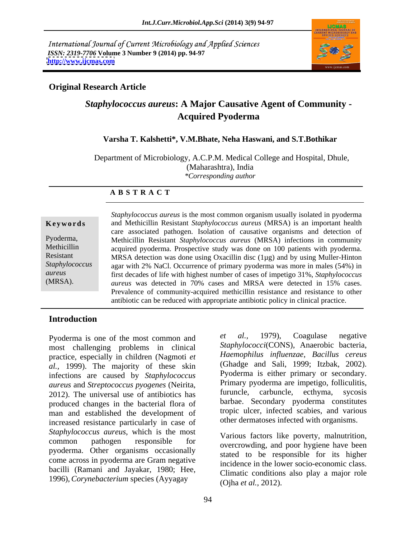International Journal of Current Microbiology and Applied Sciences *ISSN: 2319-7706* **Volume 3 Number 9 (2014) pp. 94-97 <http://www.ijcmas.com>**



### **Original Research Article**

# *Staphylococcus aureus***: A Major Causative Agent of Community - Acquired Pyoderma**

### **Varsha T. Kalshetti\*, V.M.Bhate, Neha Haswani, and S.T.Bothikar**

 Department of Microbiology, A.C.P.M. Medical College and Hospital, Dhule, (Maharashtra), India *\*Corresponding author* 

### **A B S T R A C T**

**Ke ywo rds** and Methicillin Resistant *Staphylococcus aureus* (MRSA) is an important health Pyoderma, Methicillin Resistant *Staphylococcus aureus* (MRSA) infections in community Methicillin acquired pyoderma. Prospective study was done on 100 patients with pyoderma. Resistant MRSA detection was done using Oxacillin disc (1µg) and by using Muller-Hinton *Staphylococcus*  agar with 2% NaCl. Occurrence of primary pyoderma was more in males (54%) in *aureus* first decades of life with highest number of cases of impetigo 31%, *Staphylococcus*  (MRSA). *aureus* was detected in 70% cases and MRSA were detected in 15% cases. *Staphylococcus aureus* is the most common organism usually isolated in pyoderma care associated pathogen. Isolation of causative organisms and detection of Prevalence of community-acquired methicillin resistance and resistance to other antibiotic can be reduced with appropriate antibiotic policy in clinical practice.

### **Introduction**

most challenging problems in clinical practice, especially in children (Nagmoti *et Haemophilus influenzae*, *Bacillus cereus*<br>
(Ghadge and Sali, 1999; Itzbak, 2002). *al.*, 1999). The majority of these skin (Ghadge and Sali, 1999; Itzbak, 2002). infections are caused by *Stanbylococcus* Pyoderma is either primary or secondary. infections are caused by *Staphylococcus aureus* and *Streptococcus pyogenes* (Neirita, <sup>Primary</sup> pyoderma are impetigo, folliculitis,<br>2012). The universal use of antibiotics has furuncle, carbuncle, ecthyma, sycosis produced changes in the bacterial flora of man and established the development of increased resistance particularly in case of *Staphylococcus aureus*, which is the most common pathogen responsible for various factors like poverty, maintaining, pyoderma. Other organisms occasionally come across in pyoderma are Gram negative bacilli (Ramani and Jayakar, 1980; Hee,<br>1996), *Corynebacterium* species (Ayyagay (Oiba et al. 2012)

Pyoderma is one of the most common and et al., 1979), Coagulase negative *et al.,* 1979), Coagulase negative *Staphylococci*(CONS), Anaerobic bacteria, *Haemophilus influenzae*, *Bacillus cereus* (Ghadge and Sali, 1999; Itzbak, 2002). Pyoderma is either primary or secondary. Primary pyoderma are impetigo, folliculitis, furuncle, carbuncle, ecthyma, sycosis barbae. Secondary pyoderma constitutes tropic ulcer, infected scabies, and various other dermatoses infected with organisms.

> Various factors like poverty, malnutrition, stated to be responsible for its higher incidence in the lower socio-economic class. Climatic conditions also play a major role (Ojha *et al.,* 2012).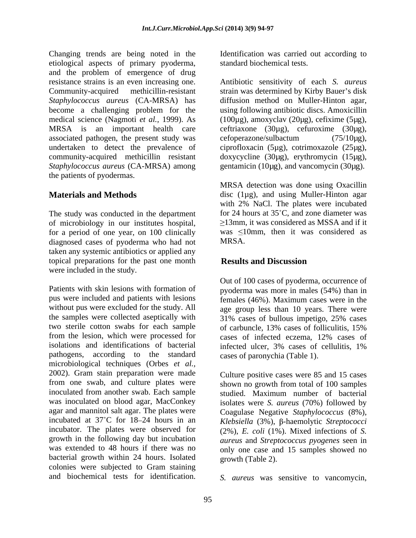Changing trends are being noted in the Identification was carried out according to etiological aspects of primary pyoderma, and the problem of emergence of drug resistance strains is an even increasing one. Antibiotic sensitivity of each *S. aureus* Community-acquired methicillin-resistant strain was determined by Kirby Bauer's disk *Staphylococcus aureus* (CA-MRSA) has become a challenging problem for the medical science (Nagmoti *et al.,* 1999). As (100µg), amoxyclav (20µg), cefixime (5µg), MRSA is an important health care ceftriaxone (30µg), cefuroxime (30µg), associated pathogen, the present study was cefore example example  $(75/10\mu g)$ , undertaken to detect the prevalence of community-acquired methicillin resistant doxycycline (30µg), erythromycin (15µg), *Staphylococcus aureus* (CA-MRSA) among gentamicin (10µg), and vancomycin (30µg). the patients of pyodermas.

The study was conducted in the department of microbiology in our institutes hospital, for a period of one year, on 100 clinically diagnosed cases of pyoderma who had not MRSA. taken any systemic antibiotics or applied any topical preparations for the past one month **Results and Discussion** were included in the study.

Patients with skin lesions with formation of pyoderma was more in males (54%) than in pus were included and patients with lesions females (46%). Maximum cases were in the without pus were excluded for the study. All age group less than 10 years. There were the samples were collected aseptically with  $31\%$  cases of bullous impetigo, 25% cases two sterile cotton swabs for each sample of carbuncle, 13% cases of folliculitis, 15% from the lesion, which were processed for eases of infected eczema. 12% cases of isolations and identifications of bacterial pathogens, according to the standard microbiological techniques (Orbes *et al.,* 2002). Gram stain preparation were made from one swab, and culture plates were shown no growth from total of 100 samples inoculated from another swab. Each sample studied. Maximum number of bacterial was inoculated on blood agar, MacConkey isolates were *S. aureus* (70%) followed by agar and mannitol salt agar. The plates were Coagulase Negative *Staphylococcus* (8%), incubated at  $37^{\circ}$ C for  $18-24$  hours in an *Klebsiella* (3%),  $\beta$ -haemolytic *Streptococci* incubator. The plates were observed for (2%), *E. coli* (1%). Mixed infections of *S.* growth in the following day but incubation *aureus* and *Streptococcus pyogenes* seen in was extended to 48 hours if there was no only one case and 15 samples showed no bacterial growth within 24 hours. Isolated growth (Table 2). colonies were subjected to Gram staining

standard biochemical tests.

diffusion method on Muller-Hinton agar, using following antibiotic discs. Amoxicillin cefoperazone/sulbactum (75/10µg), ciprofloxacin (5µg), cotrimoxazole (25µg),

**Materials and Methods** disc (1µg), and using Muller-Hinton agar MRSA detection was done using Oxacillin with 2% NaCl. The plates were incubated for 24 hours at 35°C, and zone diameter was 13mm, it was considered as MSSA and if it was  $\leq 10$ mm, then it was considered as MRSA.

## **Results and Discussion**

Out of 100 cases of pyoderma, occurrence of 31% cases of bullous impetigo, 25% cases of carbuncle, 13% cases of folliculitis, 15% cases of infected eczema, 12% cases of infected ulcer, 3% cases of cellulitis, 1% cases of paronychia (Table 1).

Culture positive cases were 85 and 15 cases growth (Table 2).

and biochemical tests for identification. *S. aureus* was sensitive to vancomycin,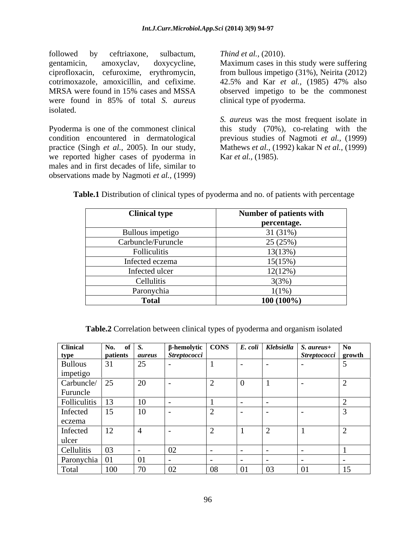followed by ceftriaxone, sulbactum, Thind et al., (2010). gentamicin, amoxyclav, doxycycline, Maximum cases in this study were suffering ciprofloxacin, cefuroxime, erythromycin, cotrimoxazole, amoxicillin, and cefixime. 42.5% and Kar et al., (1985) 47% also MRSA were found in 15% cases and MSSA observed impetigo to be the commonest were found in 85% of total *S. aureus* isolated.

Pyoderma is one of the commonest clinical this study (70%), co-relating with the condition encountered in dermatological previous studies of Nagmoti *et al.,* (1999) practice (Singh *et al.,* 2005).In our study, Mathews *et al.,* (1992) kakar N *et al.,*(1999) we reported higher cases of pyoderma in males and in first decades of life, similar to observations made by Nagmoti *et al.,* (1999)

*Thind et al.,* (2010).

from bullous impetigo (31%), Neirita (2012) 42.5% and Kar *et al.,* (1985) 47% also clinical type of pyoderma.

*S. aureus* was the most frequent isolate in Kar *et al.,* (1985).

| <b>Clinical type</b> | Number of patients with |
|----------------------|-------------------------|
|                      | percentage.             |
| Bullous impetigo     | 31(31%)                 |
| Carbuncle/Furuncle   | 25(25%)                 |
| Folliculitis         | 13(13%)                 |
| Infected eczema      | 15(15%)                 |
| Infected ulcer       | 12(12%)                 |
| Cellulitis           | 3(3%)                   |
| Paronychia           | $1(1\%)$                |
| <b>Total</b>         | $100(100\%)$            |

**Table.1** Distribution of clinical types of pyoderma and no. of patients with percentage

**Table.2** Correlation between clinical types of pyoderma and organism isolated

| <b>Clinical</b> | No. of $S$ .        |               |                     |    |               |                          | $β$ -hemolytic $\overline{)$ CONS $\overline{)$ E. coli $\overline{)}$ Klebsiella $\overline{)$ S. aureus+ $\overline{)}$ No |    |
|-----------------|---------------------|---------------|---------------------|----|---------------|--------------------------|------------------------------------------------------------------------------------------------------------------------------|----|
|                 | patients            | aureus        | <b>Streptococci</b> |    |               |                          | Streptococci growth                                                                                                          |    |
| type<br>Bullous | $\sim$ $\sim$<br>71 | 25            |                     |    | $\sim$ $\sim$ | $\sim$ $\sim$            |                                                                                                                              |    |
| impetigo        |                     |               |                     |    |               |                          |                                                                                                                              |    |
| Carbuncle/      | 25                  | 20            |                     |    |               |                          |                                                                                                                              |    |
| Furuncle        |                     |               |                     |    |               |                          |                                                                                                                              |    |
| Folliculitis    |                     | 10            |                     |    |               |                          |                                                                                                                              |    |
| Infected        | 15                  | 10            |                     |    |               | $\overline{\phantom{0}}$ |                                                                                                                              |    |
| eczema          |                     |               |                     |    |               |                          |                                                                                                                              |    |
| Infected        | 12                  | I 41          |                     |    |               |                          |                                                                                                                              |    |
| ulcer           |                     |               |                     |    |               |                          |                                                                                                                              |    |
| Cellulitis      | $\sim$              |               | 02                  |    |               |                          |                                                                                                                              |    |
| Paronychia      |                     |               |                     |    |               | $\overline{\phantom{0}}$ |                                                                                                                              |    |
| Total           | 100<br>TOO          | $\neg \wedge$ | 02                  | 08 | 01            | 03                       | 0 <sub>1</sub>                                                                                                               | 15 |